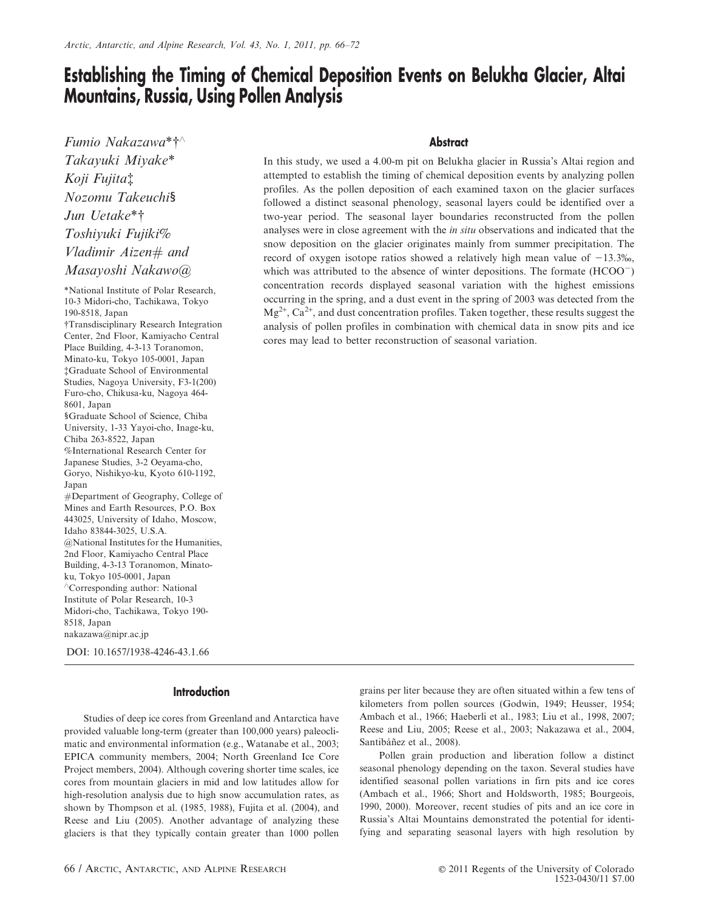# Establishing the Timing of Chemical Deposition Events on Belukha Glacier, Altai Mountains, Russia, Using Pollen Analysis

Fumio Nakazawa $*$ † $\wedge$ Takayuki Miyake\* Koji Fujita<sup>†</sup> Nozomu Takeuchi§ Jun Uetake\*† Toshiyuki Fujiki% Vladimir Aizen# and Masayoshi Nakawo@

\*National Institute of Polar Research, 10-3 Midori-cho, Tachikawa, Tokyo 190-8518, Japan {Transdisciplinary Research Integration Center, 2nd Floor, Kamiyacho Central Place Building, 4-3-13 Toranomon, Minato-ku, Tokyo 105-0001, Japan {Graduate School of Environmental Studies, Nagoya University, F3-1(200) Furo-cho, Chikusa-ku, Nagoya 464- 8601, Japan 1Graduate School of Science, Chiba University, 1-33 Yayoi-cho, Inage-ku, Chiba 263-8522, Japan %International Research Center for Japanese Studies, 3-2 Oeyama-cho, Goryo, Nishikyo-ku, Kyoto 610-1192, Japan #Department of Geography, College of Mines and Earth Resources, P.O. Box 443025, University of Idaho, Moscow, Idaho 83844-3025, U.S.A. @National Institutes for the Humanities, 2nd Floor, Kamiyacho Central Place Building, 4-3-13 Toranomon, Minatoku, Tokyo 105-0001, Japan 'Corresponding author: National Institute of Polar Research, 10-3 Midori-cho, Tachikawa, Tokyo 190- 8518, Japan nakazawa@nipr.ac.jp

DOI: 10.1657/1938-4246-43.1.66

### **Introduction**

Studies of deep ice cores from Greenland and Antarctica have provided valuable long-term (greater than 100,000 years) paleoclimatic and environmental information (e.g., Watanabe et al., 2003; EPICA community members, 2004; North Greenland Ice Core Project members, 2004). Although covering shorter time scales, ice cores from mountain glaciers in mid and low latitudes allow for high-resolution analysis due to high snow accumulation rates, as shown by Thompson et al. (1985, 1988), Fujita et al. (2004), and Reese and Liu (2005). Another advantage of analyzing these glaciers is that they typically contain greater than 1000 pollen

## **Abstract**

In this study, we used a 4.00-m pit on Belukha glacier in Russia's Altai region and attempted to establish the timing of chemical deposition events by analyzing pollen profiles. As the pollen deposition of each examined taxon on the glacier surfaces followed a distinct seasonal phenology, seasonal layers could be identified over a two-year period. The seasonal layer boundaries reconstructed from the pollen analyses were in close agreement with the in situ observations and indicated that the snow deposition on the glacier originates mainly from summer precipitation. The record of oxygen isotope ratios showed a relatively high mean value of  $-13.3\%$ , which was attributed to the absence of winter depositions. The formate  $(HCOO<sup>-</sup>)$ concentration records displayed seasonal variation with the highest emissions occurring in the spring, and a dust event in the spring of 2003 was detected from the  $Mg^{2+}$ ,  $Ca^{2+}$ , and dust concentration profiles. Taken together, these results suggest the analysis of pollen profiles in combination with chemical data in snow pits and ice cores may lead to better reconstruction of seasonal variation.

> grains per liter because they are often situated within a few tens of kilometers from pollen sources (Godwin, 1949; Heusser, 1954; Ambach et al., 1966; Haeberli et al., 1983; Liu et al., 1998, 2007; Reese and Liu, 2005; Reese et al., 2003; Nakazawa et al., 2004, Santibáñez et al., 2008).

> Pollen grain production and liberation follow a distinct seasonal phenology depending on the taxon. Several studies have identified seasonal pollen variations in firn pits and ice cores (Ambach et al., 1966; Short and Holdsworth, 1985; Bourgeois, 1990, 2000). Moreover, recent studies of pits and an ice core in Russia's Altai Mountains demonstrated the potential for identifying and separating seasonal layers with high resolution by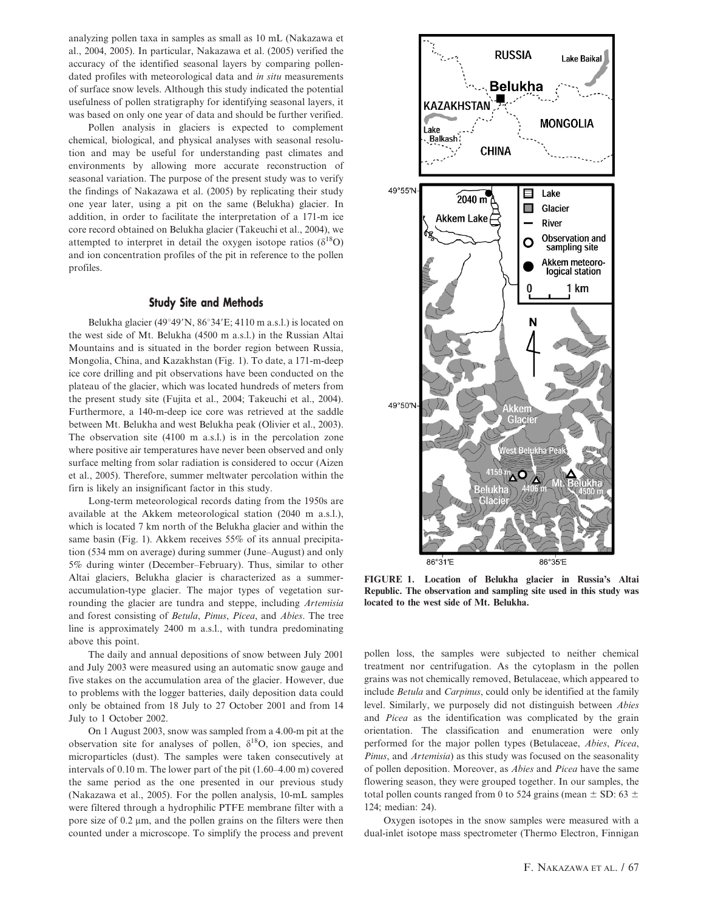analyzing pollen taxa in samples as small as 10 mL (Nakazawa et al., 2004, 2005). In particular, Nakazawa et al. (2005) verified the accuracy of the identified seasonal layers by comparing pollendated profiles with meteorological data and in situ measurements of surface snow levels. Although this study indicated the potential usefulness of pollen stratigraphy for identifying seasonal layers, it was based on only one year of data and should be further verified.

Pollen analysis in glaciers is expected to complement chemical, biological, and physical analyses with seasonal resolution and may be useful for understanding past climates and environments by allowing more accurate reconstruction of seasonal variation. The purpose of the present study was to verify the findings of Nakazawa et al. (2005) by replicating their study one year later, using a pit on the same (Belukha) glacier. In addition, in order to facilitate the interpretation of a 171-m ice core record obtained on Belukha glacier (Takeuchi et al., 2004), we attempted to interpret in detail the oxygen isotope ratios ( $\delta^{18}O$ ) and ion concentration profiles of the pit in reference to the pollen profiles.

## Study Site and Methods

Belukha glacier (49°49'N, 86°34'E; 4110 m a.s.l.) is located on the west side of Mt. Belukha (4500 m a.s.l.) in the Russian Altai Mountains and is situated in the border region between Russia, Mongolia, China, and Kazakhstan (Fig. 1). To date, a 171-m-deep ice core drilling and pit observations have been conducted on the plateau of the glacier, which was located hundreds of meters from the present study site (Fujita et al., 2004; Takeuchi et al., 2004). Furthermore, a 140-m-deep ice core was retrieved at the saddle between Mt. Belukha and west Belukha peak (Olivier et al., 2003). The observation site (4100 m a.s.l.) is in the percolation zone where positive air temperatures have never been observed and only surface melting from solar radiation is considered to occur (Aizen et al., 2005). Therefore, summer meltwater percolation within the firn is likely an insignificant factor in this study.

Long-term meteorological records dating from the 1950s are available at the Akkem meteorological station (2040 m a.s.l.), which is located 7 km north of the Belukha glacier and within the same basin (Fig. 1). Akkem receives 55% of its annual precipitation (534 mm on average) during summer (June–August) and only 5% during winter (December–February). Thus, similar to other Altai glaciers, Belukha glacier is characterized as a summeraccumulation-type glacier. The major types of vegetation surrounding the glacier are tundra and steppe, including Artemisia and forest consisting of Betula, Pinus, Picea, and Abies. The tree line is approximately 2400 m a.s.l., with tundra predominating above this point.

The daily and annual depositions of snow between July 2001 and July 2003 were measured using an automatic snow gauge and five stakes on the accumulation area of the glacier. However, due to problems with the logger batteries, daily deposition data could only be obtained from 18 July to 27 October 2001 and from 14 July to 1 October 2002.

On 1 August 2003, snow was sampled from a 4.00-m pit at the observation site for analyses of pollen,  $\delta^{18}O$ , ion species, and microparticles (dust). The samples were taken consecutively at intervals of 0.10 m. The lower part of the pit (1.60–4.00 m) covered the same period as the one presented in our previous study (Nakazawa et al., 2005). For the pollen analysis, 10-mL samples were filtered through a hydrophilic PTFE membrane filter with a pore size of  $0.2 \mu m$ , and the pollen grains on the filters were then counted under a microscope. To simplify the process and prevent



FIGURE 1. Location of Belukha glacier in Russia's Altai Republic. The observation and sampling site used in this study was located to the west side of Mt. Belukha.

pollen loss, the samples were subjected to neither chemical treatment nor centrifugation. As the cytoplasm in the pollen grains was not chemically removed, Betulaceae, which appeared to include Betula and Carpinus, could only be identified at the family level. Similarly, we purposely did not distinguish between Abies and Picea as the identification was complicated by the grain orientation. The classification and enumeration were only performed for the major pollen types (Betulaceae, Abies, Picea, Pinus, and Artemisia) as this study was focused on the seasonality of pollen deposition. Moreover, as Abies and Picea have the same flowering season, they were grouped together. In our samples, the total pollen counts ranged from 0 to 524 grains (mean  $\pm$  SD: 63  $\pm$ 124; median: 24).

Oxygen isotopes in the snow samples were measured with a dual-inlet isotope mass spectrometer (Thermo Electron, Finnigan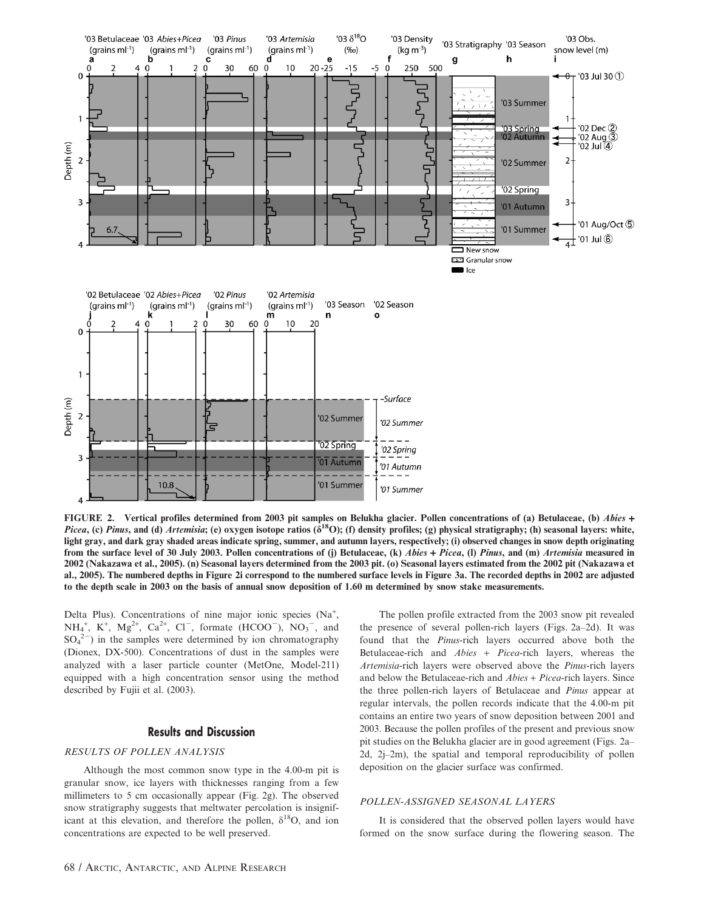

FIGURE 2. Vertical profiles determined from 2003 pit samples on Belukha glacier. Pollen concentrations of (a) Betulaceae, (b) Abies + Picea, (c) Pinus, and (d) Artemisia; (e) oxygen isotope ratios ( $\delta^{18}O$ ); (f) density profiles; (g) physical stratigraphy; (h) seasonal layers: white, light gray, and dark gray shaded areas indicate spring, summer, and autumn layers, respectively; (i) observed changes in snow depth originating from the surface level of 30 July 2003. Pollen concentrations of (j) Betulaceae, (k) Abies + Picea, (l) Pinus, and (m) Artemisia measured in 2002 (Nakazawa et al., 2005). (n) Seasonal layers determined from the 2003 pit. (o) Seasonal layers estimated from the 2002 pit (Nakazawa et al., 2005). The numbered depths in Figure 2i correspond to the numbered surface levels in Figure 3a. The recorded depths in 2002 are adjusted to the depth scale in 2003 on the basis of annual snow deposition of 1.60 m determined by snow stake measurements.

Delta Plus). Concentrations of nine major ionic species (Na<sup>+</sup>,  $NH_4^+$ , K<sup>+</sup>, Mg<sup>2+</sup>, Ca<sup>2+</sup>, Cl<sup>-</sup>, formate (HCOO<sup>-</sup>), NO<sub>3</sub><sup>-</sup>, and  $SO_4^2$ ) in the samples were determined by ion chromatography (Dionex, DX-500). Concentrations of dust in the samples were analyzed with a laser particle counter (MetOne, Model-211) equipped with a high concentration sensor using the method described by Fujii et al. (2003).

#### Results and Discussion

### RESULTS OF POLLEN ANALYSIS

Although the most common snow type in the 4.00-m pit is granular snow, ice layers with thicknesses ranging from a few millimeters to 5 cm occasionally appear (Fig. 2g). The observed snow stratigraphy suggests that meltwater percolation is insignificant at this elevation, and therefore the pollen,  $\delta^{18}O$ , and ion concentrations are expected to be well preserved.

The pollen profile extracted from the 2003 snow pit revealed the presence of several pollen-rich layers (Figs. 2a–2d). It was found that the Pinus-rich layers occurred above both the Betulaceae-rich and Abies + Picea-rich layers, whereas the Artemisia-rich layers were observed above the Pinus-rich layers and below the Betulaceae-rich and Abies + Picea-rich layers. Since the three pollen-rich layers of Betulaceae and Pinus appear at regular intervals, the pollen records indicate that the 4.00-m pit contains an entire two years of snow deposition between 2001 and 2003. Because the pollen profiles of the present and previous snow pit studies on the Belukha glacier are in good agreement (Figs. 2a– 2d, 2j–2m), the spatial and temporal reproducibility of pollen deposition on the glacier surface was confirmed.

#### POLLEN-ASSIGNED SEASONAL LAYERS

It is considered that the observed pollen layers would have formed on the snow surface during the flowering season. The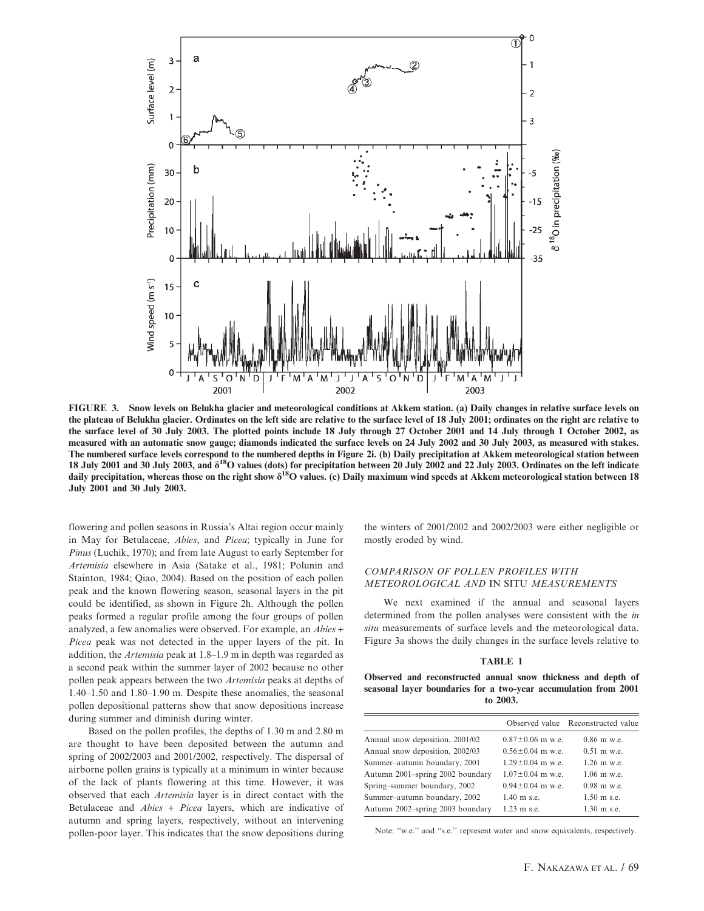

FIGURE 3. Snow levels on Belukha glacier and meteorological conditions at Akkem station. (a) Daily changes in relative surface levels on the plateau of Belukha glacier. Ordinates on the left side are relative to the surface level of 18 July 2001; ordinates on the right are relative to the surface level of 30 July 2003. The plotted points include 18 July through 27 October 2001 and 14 July through 1 October 2002, as measured with an automatic snow gauge; diamonds indicated the surface levels on 24 July 2002 and 30 July 2003, as measured with stakes. The numbered surface levels correspond to the numbered depths in Figure 2i. (b) Daily precipitation at Akkem meteorological station between 18 July 2001 and 30 July 2003, and  $\delta^{18}O$  values (dots) for precipitation between 20 July 2002 and 22 July 2003. Ordinates on the left indicate daily precipitation, whereas those on the right show  $\delta^{18}O$  values. (c) Daily maximum wind speeds at Akkem meteorological station between 18 July 2001 and 30 July 2003.

flowering and pollen seasons in Russia's Altai region occur mainly in May for Betulaceae, Abies, and Picea; typically in June for Pinus (Luchik, 1970); and from late August to early September for Artemisia elsewhere in Asia (Satake et al., 1981; Polunin and Stainton, 1984; Qiao, 2004). Based on the position of each pollen peak and the known flowering season, seasonal layers in the pit could be identified, as shown in Figure 2h. Although the pollen peaks formed a regular profile among the four groups of pollen analyzed, a few anomalies were observed. For example, an Abies + Picea peak was not detected in the upper layers of the pit. In addition, the Artemisia peak at 1.8–1.9 m in depth was regarded as a second peak within the summer layer of 2002 because no other pollen peak appears between the two Artemisia peaks at depths of 1.40–1.50 and 1.80–1.90 m. Despite these anomalies, the seasonal pollen depositional patterns show that snow depositions increase during summer and diminish during winter.

Based on the pollen profiles, the depths of 1.30 m and 2.80 m are thought to have been deposited between the autumn and spring of 2002/2003 and 2001/2002, respectively. The dispersal of airborne pollen grains is typically at a minimum in winter because of the lack of plants flowering at this time. However, it was observed that each Artemisia layer is in direct contact with the Betulaceae and Abies + Picea layers, which are indicative of autumn and spring layers, respectively, without an intervening pollen-poor layer. This indicates that the snow depositions during the winters of 2001/2002 and 2002/2003 were either negligible or mostly eroded by wind.

## COMPARISON OF POLLEN PROFILES WITH METEOROLOGICAL AND IN SITU MEASUREMENTS

We next examined if the annual and seasonal layers determined from the pollen analyses were consistent with the in situ measurements of surface levels and the meteorological data. Figure 3a shows the daily changes in the surface levels relative to

#### TABLE 1

Observed and reconstructed annual snow thickness and depth of seasonal layer boundaries for a two-year accumulation from 2001 to 2003.

|                                  |                        | Observed value Reconstructed value |
|----------------------------------|------------------------|------------------------------------|
| Annual snow deposition, 2001/02  | $0.87 \pm 0.06$ m w.e. | $0.86$ m w.e.                      |
| Annual snow deposition, 2002/03  | $0.56 \pm 0.04$ m w.e. | $0.51 \text{ m}$ w.e.              |
| Summer-autumn boundary, 2001     | $1.29 \pm 0.04$ m w.e. | $1.26$ m w.e.                      |
| Autumn 2001-spring 2002 boundary | $1.07 \pm 0.04$ m w.e. | $1.06$ m w.e.                      |
| Spring-summer boundary, 2002     | $0.94 \pm 0.04$ m w.e. | $0.98$ m w.e.                      |
| Summer-autumn boundary, 2002     | $1.40 \text{ m}$ s.e.  | $1.50 \text{ m}$ s.e.              |
| Autumn 2002-spring 2003 boundary | $1.23 \text{ m}$ s.e.  | $1.30 \text{ m}$ s.e.              |

Note: "w.e." and "s.e." represent water and snow equivalents, respectively.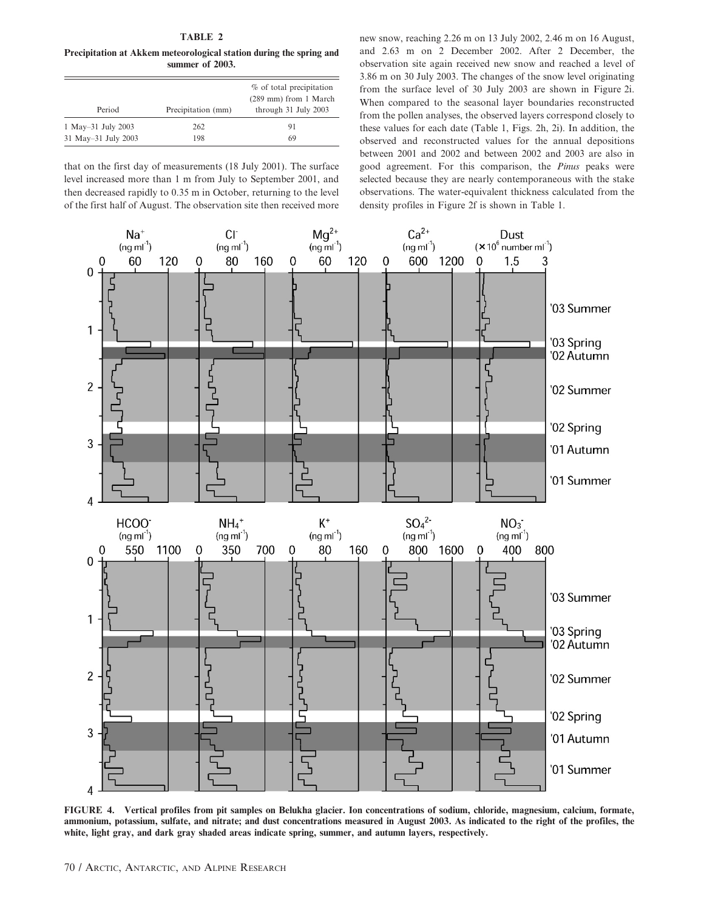# TABLE 2

Precipitation at Akkem meteorological station during the spring and summer of 2003.

| Period              | Precipitation (mm) | $%$ of total precipitation<br>(289 mm) from 1 March<br>through 31 July 2003 |
|---------------------|--------------------|-----------------------------------------------------------------------------|
| 1 May-31 July 2003  | 262                | 91                                                                          |
| 31 May-31 July 2003 | 198                | 69                                                                          |

that on the first day of measurements (18 July 2001). The surface level increased more than 1 m from July to September 2001, and then decreased rapidly to 0.35 m in October, returning to the level of the first half of August. The observation site then received more new snow, reaching 2.26 m on 13 July 2002, 2.46 m on 16 August, and 2.63 m on 2 December 2002. After 2 December, the observation site again received new snow and reached a level of 3.86 m on 30 July 2003. The changes of the snow level originating from the surface level of 30 July 2003 are shown in Figure 2i. When compared to the seasonal layer boundaries reconstructed from the pollen analyses, the observed layers correspond closely to these values for each date (Table 1, Figs. 2h, 2i). In addition, the observed and reconstructed values for the annual depositions between 2001 and 2002 and between 2002 and 2003 are also in good agreement. For this comparison, the Pinus peaks were selected because they are nearly contemporaneous with the stake observations. The water-equivalent thickness calculated from the density profiles in Figure 2f is shown in Table 1.



FIGURE 4. Vertical profiles from pit samples on Belukha glacier. Ion concentrations of sodium, chloride, magnesium, calcium, formate, ammonium, potassium, sulfate, and nitrate; and dust concentrations measured in August 2003. As indicated to the right of the profiles, the white, light gray, and dark gray shaded areas indicate spring, summer, and autumn layers, respectively.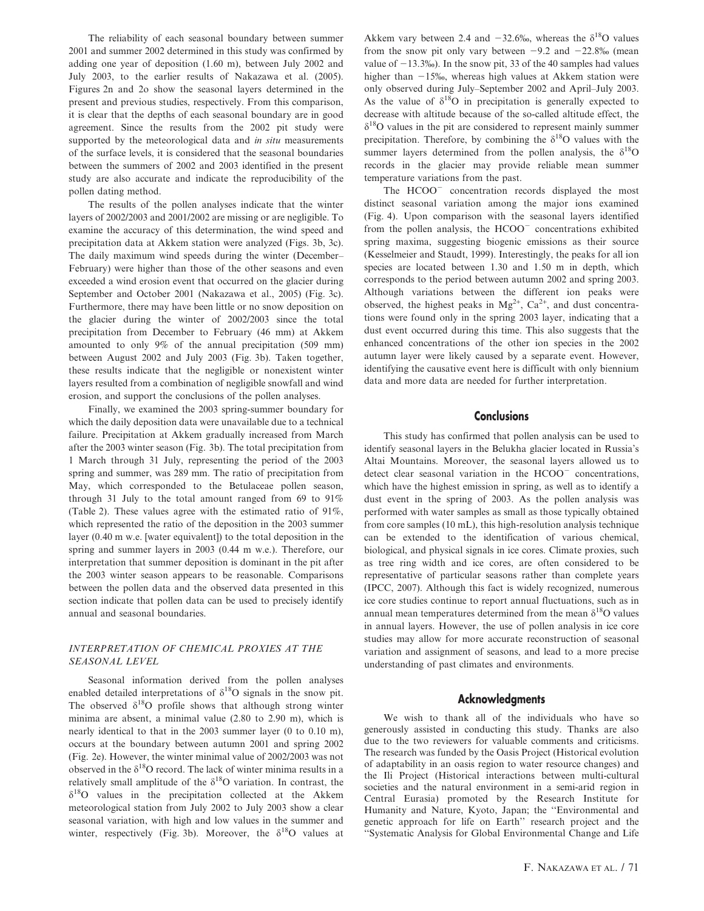The reliability of each seasonal boundary between summer 2001 and summer 2002 determined in this study was confirmed by adding one year of deposition (1.60 m), between July 2002 and July 2003, to the earlier results of Nakazawa et al. (2005). Figures 2n and 2o show the seasonal layers determined in the present and previous studies, respectively. From this comparison, it is clear that the depths of each seasonal boundary are in good agreement. Since the results from the 2002 pit study were supported by the meteorological data and in situ measurements of the surface levels, it is considered that the seasonal boundaries between the summers of 2002 and 2003 identified in the present study are also accurate and indicate the reproducibility of the pollen dating method.

The results of the pollen analyses indicate that the winter layers of 2002/2003 and 2001/2002 are missing or are negligible. To examine the accuracy of this determination, the wind speed and precipitation data at Akkem station were analyzed (Figs. 3b, 3c). The daily maximum wind speeds during the winter (December– February) were higher than those of the other seasons and even exceeded a wind erosion event that occurred on the glacier during September and October 2001 (Nakazawa et al., 2005) (Fig. 3c). Furthermore, there may have been little or no snow deposition on the glacier during the winter of 2002/2003 since the total precipitation from December to February (46 mm) at Akkem amounted to only 9% of the annual precipitation (509 mm) between August 2002 and July 2003 (Fig. 3b). Taken together, these results indicate that the negligible or nonexistent winter layers resulted from a combination of negligible snowfall and wind erosion, and support the conclusions of the pollen analyses.

Finally, we examined the 2003 spring-summer boundary for which the daily deposition data were unavailable due to a technical failure. Precipitation at Akkem gradually increased from March after the 2003 winter season (Fig. 3b). The total precipitation from 1 March through 31 July, representing the period of the 2003 spring and summer, was 289 mm. The ratio of precipitation from May, which corresponded to the Betulaceae pollen season, through 31 July to the total amount ranged from 69 to 91% (Table 2). These values agree with the estimated ratio of 91%, which represented the ratio of the deposition in the 2003 summer layer (0.40 m w.e. [water equivalent]) to the total deposition in the spring and summer layers in 2003 (0.44 m w.e.). Therefore, our interpretation that summer deposition is dominant in the pit after the 2003 winter season appears to be reasonable. Comparisons between the pollen data and the observed data presented in this section indicate that pollen data can be used to precisely identify annual and seasonal boundaries.

## INTERPRETATION OF CHEMICAL PROXIES AT THE SEASONAL LEVEL

Seasonal information derived from the pollen analyses enabled detailed interpretations of  $\delta^{18}$ O signals in the snow pit. The observed  $\delta^{18}O$  profile shows that although strong winter minima are absent, a minimal value (2.80 to 2.90 m), which is nearly identical to that in the 2003 summer layer (0 to 0.10 m), occurs at the boundary between autumn 2001 and spring 2002 (Fig. 2e). However, the winter minimal value of 2002/2003 was not observed in the  $\delta^{18}$ O record. The lack of winter minima results in a relatively small amplitude of the  $\delta^{18}O$  variation. In contrast, the  $\delta^{18}$ O values in the precipitation collected at the Akkem meteorological station from July 2002 to July 2003 show a clear seasonal variation, with high and low values in the summer and winter, respectively (Fig. 3b). Moreover, the  $\delta^{18}O$  values at

Akkem vary between 2.4 and  $-32.6\%$ , whereas the  $\delta^{18}$ O values from the snow pit only vary between  $-9.2$  and  $-22.8\%$  (mean value of  $-13.3\%$ ). In the snow pit, 33 of the 40 samples had values higher than  $-15\%$ , whereas high values at Akkem station were only observed during July–September 2002 and April–July 2003. As the value of  $\delta^{18}O$  in precipitation is generally expected to decrease with altitude because of the so-called altitude effect, the  $\delta^{18}$ O values in the pit are considered to represent mainly summer precipitation. Therefore, by combining the  $\delta^{18}$ O values with the summer layers determined from the pollen analysis, the  $\delta^{18}O$ records in the glacier may provide reliable mean summer temperature variations from the past.

The HCOO<sup>-</sup> concentration records displayed the most distinct seasonal variation among the major ions examined (Fig. 4). Upon comparison with the seasonal layers identified from the pollen analysis, the  $HCOO<sup>-</sup>$  concentrations exhibited spring maxima, suggesting biogenic emissions as their source (Kesselmeier and Staudt, 1999). Interestingly, the peaks for all ion species are located between 1.30 and 1.50 m in depth, which corresponds to the period between autumn 2002 and spring 2003. Although variations between the different ion peaks were observed, the highest peaks in  $Mg^{2+}$ ,  $Ca^{2+}$ , and dust concentrations were found only in the spring 2003 layer, indicating that a dust event occurred during this time. This also suggests that the enhanced concentrations of the other ion species in the 2002 autumn layer were likely caused by a separate event. However, identifying the causative event here is difficult with only biennium data and more data are needed for further interpretation.

## **Conclusions**

This study has confirmed that pollen analysis can be used to identify seasonal layers in the Belukha glacier located in Russia's Altai Mountains. Moreover, the seasonal layers allowed us to detect clear seasonal variation in the  $HCOO<sup>-</sup>$  concentrations, which have the highest emission in spring, as well as to identify a dust event in the spring of 2003. As the pollen analysis was performed with water samples as small as those typically obtained from core samples (10 mL), this high-resolution analysis technique can be extended to the identification of various chemical, biological, and physical signals in ice cores. Climate proxies, such as tree ring width and ice cores, are often considered to be representative of particular seasons rather than complete years (IPCC, 2007). Although this fact is widely recognized, numerous ice core studies continue to report annual fluctuations, such as in annual mean temperatures determined from the mean  $\delta^{18}$ O values in annual layers. However, the use of pollen analysis in ice core studies may allow for more accurate reconstruction of seasonal variation and assignment of seasons, and lead to a more precise understanding of past climates and environments.

## Acknowledgments

We wish to thank all of the individuals who have so generously assisted in conducting this study. Thanks are also due to the two reviewers for valuable comments and criticisms. The research was funded by the Oasis Project (Historical evolution of adaptability in an oasis region to water resource changes) and the Ili Project (Historical interactions between multi-cultural societies and the natural environment in a semi-arid region in Central Eurasia) promoted by the Research Institute for Humanity and Nature, Kyoto, Japan; the ''Environmental and genetic approach for life on Earth'' research project and the ''Systematic Analysis for Global Environmental Change and Life